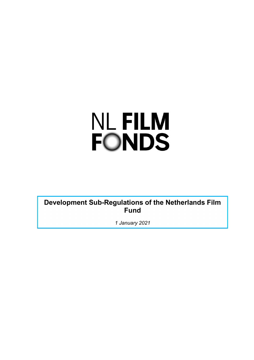# **NL FILM FONDS**

**Development Sub-Regulations of the Netherlands Film Fund**

*1 January 2021*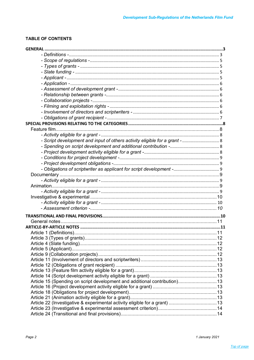# **TABLE OF CONTENTS**

| - Script development and input of others activity eligible for a grant -  8 |  |
|-----------------------------------------------------------------------------|--|
|                                                                             |  |
|                                                                             |  |
|                                                                             |  |
|                                                                             |  |
|                                                                             |  |
|                                                                             |  |
|                                                                             |  |
|                                                                             |  |
|                                                                             |  |
|                                                                             |  |
|                                                                             |  |
|                                                                             |  |
|                                                                             |  |
|                                                                             |  |
|                                                                             |  |
|                                                                             |  |
|                                                                             |  |
|                                                                             |  |
|                                                                             |  |
|                                                                             |  |
|                                                                             |  |
|                                                                             |  |
|                                                                             |  |
|                                                                             |  |
|                                                                             |  |
| Article 15 (Spending on script development and additional contribution) 13  |  |
|                                                                             |  |
|                                                                             |  |
|                                                                             |  |
|                                                                             |  |
|                                                                             |  |
|                                                                             |  |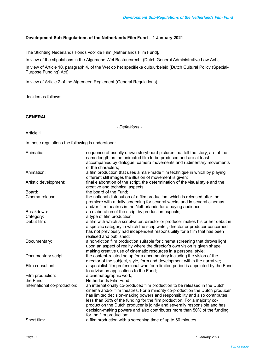# **Development Sub-Regulations of the Netherlands Film Fund – 1 January 2021**

The Stichting Nederlands Fonds voor de Film [Netherlands Film Fund],

In view of the stipulations in the Algemene Wet Bestuursrecht (Dutch General Administrative Law Act),

In view of Article 10, paragraph 4, of the Wet op het specifieke cultuurbeleid (Dutch Cultural Policy (Special-Purpose Funding) Act),

In view of Article 2 of the Algemeen Reglement (General Regulations),

decides as follows:

# **GENERAL**

*- Definitions -*

# Article 1

In these regulations the following is understood:

| Animatic:                    | sequence of usually drawn storyboard pictures that tell the story, are of the<br>same length as the animated film to be produced and are at least<br>accompanied by dialogue, camera movements and rudimentary movements<br>of the characters;                                                                                                                                                                                                                                                             |
|------------------------------|------------------------------------------------------------------------------------------------------------------------------------------------------------------------------------------------------------------------------------------------------------------------------------------------------------------------------------------------------------------------------------------------------------------------------------------------------------------------------------------------------------|
| Animation:                   | a film production that uses a man-made film technique in which by playing<br>different still images the illusion of movement is given;                                                                                                                                                                                                                                                                                                                                                                     |
| Artistic development:        | final elaboration of the script, the determination of the visual style and the<br>creative and technical aspects;                                                                                                                                                                                                                                                                                                                                                                                          |
| Board:                       | the board of the Fund;                                                                                                                                                                                                                                                                                                                                                                                                                                                                                     |
| Cinema release:              | the national distribution of a film production, which is released after the<br>première with a daily screening for several weeks and in several cinemas<br>and/or film theatres in the Netherlands for a paying audience;                                                                                                                                                                                                                                                                                  |
| Breakdown:                   | an elaboration of the script by production aspects;                                                                                                                                                                                                                                                                                                                                                                                                                                                        |
| Category:                    | a type of film production;                                                                                                                                                                                                                                                                                                                                                                                                                                                                                 |
| Debut film:                  | a film with which a scriptwriter, director or producer makes his or her debut in<br>a specific category in which the scriptwriter, director or producer concerned<br>has not previously had independent responsibility for a film that has been<br>realised and published;                                                                                                                                                                                                                                 |
| Documentary:                 | a non-fiction film production suitable for cinema screening that throws light<br>upon an aspect of reality where the director's own vision is given shape<br>making creative use of cinematic resources in a personal style;                                                                                                                                                                                                                                                                               |
| Documentary script:          | the content-related setup for a documentary including the vision of the<br>director of the subject, style, form and development within the narrative;                                                                                                                                                                                                                                                                                                                                                      |
| Film consultant:             | a specialist film professional who for a limited period is appointed by the Fund<br>to advise on applications to the Fund;                                                                                                                                                                                                                                                                                                                                                                                 |
| Film production:             | a cinematographic work;                                                                                                                                                                                                                                                                                                                                                                                                                                                                                    |
| the Fund:                    | Netherlands Film Fund;                                                                                                                                                                                                                                                                                                                                                                                                                                                                                     |
| International co-production: | an internationally co-produced film production to be released in the Dutch<br>cinema and/or film theatres. For a minority co-production the Dutch producer<br>has limited decision-making powers and responsibility and also contributes<br>less than 50% of the funding for the film production. For a majority co-<br>production the Dutch producer is jointly and severally responsible and has<br>decision-making powers and also contributes more than 50% of the funding<br>for the film production; |
| Short film:                  | a film production with a screening time of up to 60 minutes                                                                                                                                                                                                                                                                                                                                                                                                                                                |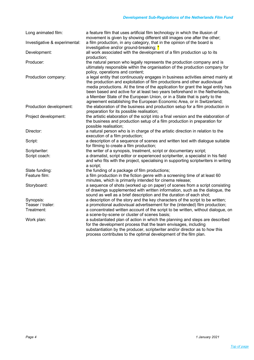| Long animated film:           | a feature film that uses artificial film technology in which the illusion of<br>movement is given by showing different still images one after the other;                                                                                                                                                                                                                                                                                                                             |
|-------------------------------|--------------------------------------------------------------------------------------------------------------------------------------------------------------------------------------------------------------------------------------------------------------------------------------------------------------------------------------------------------------------------------------------------------------------------------------------------------------------------------------|
| Investigative & experimental: | a film production, in any category, that in the opinion of the board is<br>investigative and/or ground-breaking; *                                                                                                                                                                                                                                                                                                                                                                   |
| Development:                  | all work associated with the development of a film production up to its<br>production;                                                                                                                                                                                                                                                                                                                                                                                               |
| Producer:                     | the natural person who legally represents the production company and is<br>ultimately responsible within the organisation of the production company for<br>policy, operations and content;                                                                                                                                                                                                                                                                                           |
| Production company:           | a legal entity that continuously engages in business activities aimed mainly at<br>the production and exploitation of film productions and other audiovisual<br>media productions. At the time of the application for grant the legal entity has<br>been based and active for at least two years beforehand in the Netherlands,<br>a Member State of the European Union, or in a State that is party to the<br>agreement establishing the European Economic Area, or in Switzerland; |
| Production development:       | the elaboration of the business and production setup for a film production in<br>preparation for its possible realisation;                                                                                                                                                                                                                                                                                                                                                           |
| Project development:          | the artistic elaboration of the script into a final version and the elaboration of<br>the business and production setup of a film production in preparation for<br>possible realisation;                                                                                                                                                                                                                                                                                             |
| Director:                     | a natural person who is in charge of the artistic direction in relation to the<br>execution of a film production;                                                                                                                                                                                                                                                                                                                                                                    |
| Script:                       | a description of a sequence of scenes and written text with dialogue suitable<br>for filming to create a film production;                                                                                                                                                                                                                                                                                                                                                            |
| Scriptwriter:                 | the writer of a synopsis, treatment, script or documentary script;                                                                                                                                                                                                                                                                                                                                                                                                                   |
| Script coach:                 | a dramatist, script editor or experienced scriptwriter, a specialist in his field<br>and who fits with the project, specialising in supporting scriptwriters in writing<br>a script;                                                                                                                                                                                                                                                                                                 |
| Slate funding:                | the funding of a package of film productions;                                                                                                                                                                                                                                                                                                                                                                                                                                        |
| Feature film:                 | a film production in the fiction genre with a screening time of at least 60<br>minutes, which is primarily intended for cinema release;                                                                                                                                                                                                                                                                                                                                              |
| Storyboard:                   | a sequence of shots (worked up on paper) of scenes from a script consisting<br>of drawings supplemented with written information, such as the dialogue, the<br>sound as well as a brief description and the duration of each shot;                                                                                                                                                                                                                                                   |
| Synopsis:                     | a description of the story and the key characters of the script to be written;                                                                                                                                                                                                                                                                                                                                                                                                       |
| Teaser / trailer:             | a promotional audiovisual advertisement for the (intended) film production;                                                                                                                                                                                                                                                                                                                                                                                                          |
| Treatment:                    | a concentrated written account of the script to be written, without dialogue, on                                                                                                                                                                                                                                                                                                                                                                                                     |
|                               | a scene-by-scene or cluster of scenes basis;                                                                                                                                                                                                                                                                                                                                                                                                                                         |
| Work plan:                    | a substantiated plan of action in which the planning and steps are described<br>for the development process that the team envisages, including<br>substantiation by the producer, scriptwriter and/or director as to how this<br>process contributes to the optimal development of the film plan.                                                                                                                                                                                    |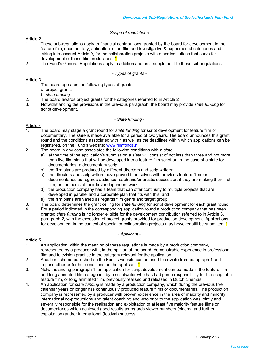# *- Scope of regulations -*

# Article 2

- 1. These sub-regulations apply to financial contributions granted by the board for development in the feature film, documentary, animation, short film and investigative & experimental categories and, taking into account Article 9, for the collaboration projects with other institutions that serve for development of these film productions. \*
- 2. The Fund's General Regulations apply in addition and as a supplement to these sub-regulations.

# *- Types of grants -*

# Article 3

- 1. The board operates the following types of grants:
	- a. project grants
	- b. *slate funding*
- 2. The board awards project grants for the categories referred to in Article 2.
- 3. Notwithstanding the provisions in the previous paragraph, the board may provide *slate funding* for script development.

# *- Slate funding -*

# Article 4

- 1. The board may stage a grant round for *slate funding* for script development for feature film or documentary. The *slate* is made available for a period of two years. The board announces this grant round and the conditions associated with it as well as the deadlines within which applications can be registered, on the Fund's website: www.filmfonds.nl.
- 2. The board in any case associates the following conditions with a *slate*:
	- a) at the time of the application's submission a *slate* will consist of not less than three and not more than five film plans that will be developed into a feature film script or, in the case of a slate for documentaries, a documentary script;
	- b) the film plans are produced by different directors and scriptwriters;
	- c) the directors and scriptwriters have proved themselves with previous feature films or documentaries as regards audience reach and/or artistic success or, if they are making their first film, on the basis of their first independent work;
	- d) the production company has a team that can offer continuity to multiple projects that are developed in parallel and a corporate plan that fits with this; and
	- e) the film plans are varied as regards film genre and target group.
- 3. The board determines the grant ceiling for *slate funding* for script development for each grant round.
- 4. For a period indicated in the corresponding application round a production company that has been granted *slate funding* is no longer eligible for the development contribution referred to in Article 3, paragraph 2, with the exception of project grants provided for production development. Applications for development in the context of special or collaboration projects may however still be submitted.  $*$

### *- Applicant -*

- 1. An application within the meaning of these regulations is made by a production company, represented by a producer with, in the opinion of the board, demonstrable experience in professional film and television practice in the category relevant for the application.
- 2. A call or scheme published on the Fund's website can be used to deviate from paragraph 1 and impose other or further conditions on the applicant.  $*$
- 3. Notwithstanding paragraph 1, an application for script development can be made in the feature film and long animated film categories by a scriptwriter who has had prime responsibility for the script of a feature film, or long animated film, previously realised and released in Dutch cinemas.
- 4. An application for *slate funding* is made by a production company, which during the previous five calendar years or longer has continuously produced feature films or documentaries. The production company is represented by a producer with proven experience in the area of majority and minority international co-productions and talent coaching and who prior to the application was jointly and severally responsible for the realisation and exploitation of at least five majority feature films or documentaries which achieved good results as regards viewer numbers (cinema and further exploitation) and/or international (festival) success.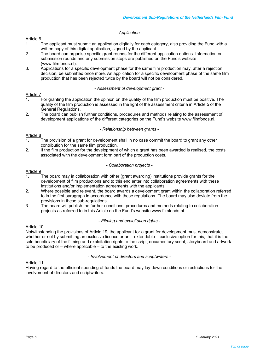# *- Application -*

### Article 6

- 1. The applicant must submit an application digitally for each category, also providing the Fund with a written copy of this digital application, signed by the applicant.
- 2. The board can organise specific grant rounds for the different application options. Information on submission rounds and any submission stops are published on the Fund's website (www.filmfonds.nl).
- 3. Applications for a specific development phase for the same film production may, after a rejection decision, be submitted once more. An application for a specific development phase of the same film production that has been rejected twice by the board will not be considered.

# *- Assessment of development grant -*

# Article 7

- 1. For granting the application the opinion on the quality of the film production must be positive. The quality of the film production is assessed in the light of the assessment criteria in Article 5 of the General Regulations.
- 2. The board can publish further conditions, procedures and methods relating to the assessment of development applications of the different categories on the Fund's website www.filmfonds.nl.

### *- Relationship between grants -*

# Article 8

- 1. The provision of a grant for development shall in no case commit the board to grant any other contribution for the same film production.
- 2. If the film production for the development of which a grant has been awarded is realised, the costs associated with the development form part of the production costs.

# *- Collaboration projects -*

### Article 9

- 1. The board may in collaboration with other (grant awarding) institutions provide grants for the development of film productions and to this end enter into collaboration agreements with these institutions and/or implementation agreements with the applicants.
- 2. Where possible and relevant, the board awards a development grant within the collaboration referred to in the first paragraph in accordance with these regulations. The board may also deviate from the provisions in these sub-regulations.
- 3. The board will publish the further conditions, procedures and methods relating to collaboration projects as referred to in this Article on the Fund's website www.filmfonds.nl.

### *- Filming and exploitation rights -*

# Article 10

Notwithstanding the provisions of Article 19, the applicant for a grant for development must demonstrate, whether or not by submitting an exclusive licence or an – extendable – exclusive option for this, that it is the sole beneficiary of the filming and exploitation rights to the script, documentary script, storyboard and artwork to be produced or – where applicable – to the existing work.

*- Involvement of directors and scriptwriters -*

# Article 11

Having regard to the efficient spending of funds the board may lay down conditions or restrictions for the involvement of directors and scriptwriters.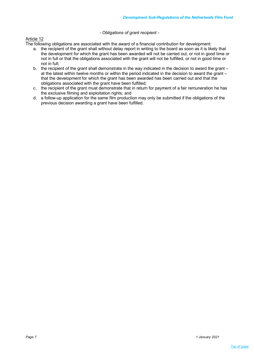# *- Obligations of grant recipient -*

# Article 12

The following obligations are associated with the award of a financial contribution for development:

- a. the recipient of the grant shall without delay report in writing to the board as soon as it is likely that the development for which the grant has been awarded will not be carried out, or not in good time or not in full or that the obligations associated with the grant will not be fulfilled, or not in good time or not in full;
- b. the recipient of the grant shall demonstrate in the way indicated in the decision to award the grant at the latest within twelve months or within the period indicated in the decision to award the grant – that the development for which the grant has been awarded has been carried out and that the obligations associated with the grant have been fulfilled;
- c. the recipient of the grant must demonstrate that in return for payment of a fair remuneration he has the exclusive filming and exploitation rights; and
- d. a follow-up application for the same film production may only be submitted if the obligations of the previous decision awarding a grant have been fulfilled.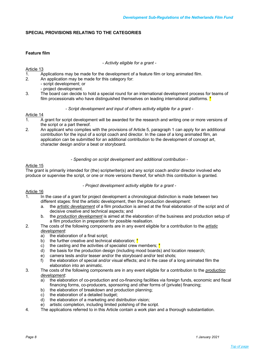# **SPECIAL PROVISIONS RELATING TO THE CATEGORIES**

# **Feature film**

*- Activity eligible for a grant -*

### Article 13

- 1. Applications may be made for the development of a feature film or long animated film.<br>2 An application may be made for this category for:
- An application may be made for this category for:
	- script development; or
	- project development.
- 3. The board can decide to hold a special round for an international development process for teams of film processionals who have distinguished themselves on leading international platforms.  $*$

# *- Script development and input of others activity eligible for a grant -*

# Article 14

- 1. A grant for script development will be awarded for the research and writing one or more versions of the script or a part thereof.
- 2. An applicant who complies with the provisions of Article 5, paragraph 1 can apply for an additional contribution for the input of a script coach and director. In the case of a long animated film, an application can be submitted for an additional contribution to the development of concept art, character design and/or a beat or storyboard.

### *- Spending on script development and additional contribution -*

# Article 15

The grant is primarily intended for (the) scriptwriter(s) and any script coach and/or director involved who produce or supervise the script, or one or more versions thereof, for which this contribution is granted.

### *- Project development activity eligible for a grant -*

- 1. In the case of a grant for project development a chronological distinction is made between two different stages: first the artistic development, then the production development:
	- a. the *artistic development* of a film production is aimed at the final elaboration of the script and of decisive creative and technical aspects; and
	- b. the *production development* is aimed at the elaboration of the business and production setup of a film production in preparation for possible realisation.
- 2. The costs of the following components are in any event eligible for a contribution to the *artistic development*:
	- a) the elaboration of a final script;
	- b) the further creative and technical elaboration;  $*$
	- c) the casting and the activities of specialist crew members;  $*$
	- d) the basis for the production design (including mood boards) and location research;
	- e) camera tests and/or teaser and/or the storyboard and/or test shots;
	- f) the elaboration of special and/or visual effects; and in the case of a long animated film the elaboration into an animatic.
- 3. The costs of the following components are in any event eligible for a contribution to the *production development*:
	- a) the elaboration of co-production and co-financing facilities via foreign funds, economic and fiscal financing forms, co-producers, sponsoring and other forms of (private) financing;
	- b) the elaboration of breakdown and production planning;
	- c) the elaboration of a detailed budget;
	- d) the elaboration of a marketing and distribution vision;
	- e) artistic completion, including limited polishing of the script.
- 4. The applications referred to in this Article contain a work plan and a thorough substantiation.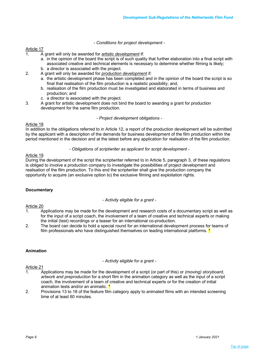*- Conditions for project development -*

# Article 17

- 1. A grant will only be awarded for *artistic development* if:
	- a. in the opinion of the board the script is of such quality that further elaboration into a final script with associated creative and technical elements is necessary to determine whether filming is likely; b. a director is associated with the project.
- 2. A grant will only be awarded for *production development* if:
	- a. the artistic development phase has been completed and in the opinion of the board the script is so final that realisation of the film production is a realistic possibility; and,
	- b. realisation of the film production must be investigated and elaborated in terms of business and production; and
	- c. a director is associated with the project.
- 3. A grant for artistic development does not bind the board to awarding a grant for production development for the same film production.

*- Project development obligations -*

# Article 18

In addition to the obligations referred to in Article 12, a report of the production development will be submitted by the applicant with a description of the demands for business development of the film production within the period mentioned in the decision and at the latest before any application for realisation of the film production.

### *- Obligations of scriptwriter as applicant for script development -*

# Article 19

During the development of the script the scriptwriter referred to in Article 5, paragraph 3, of these regulations is obliged to involve a production company to investigate the possibilities of project development and realisation of the film production. To this end the scriptwriter shall give the production company the opportunity to acquire (an exclusive option to) the exclusive filming and exploitation rights.

# **Documentary**

*- Activity eligible for a grant -*

# Article 20

- 1. Applications may be made for the development and research costs of a documentary script as well as for the input of a script coach, the involvement of a team of creative and technical experts or making the initial (test) recordings or a teaser for an international co-production.
- 2. The board can decide to hold a special round for an international development process for teams of film professionals who have distinguished themselves on leading international platforms.  $*$

# **Animation**

*- Activity eligible for a grant -*

- 1. Applications may be made for the development of a script (or part of this) or *(moving) storyboard, artwork and preproduction* for a short film in the animation category as well as the input of a script coach, the involvement of a team of creative and technical experts or for the creation of initial animation tests and/or an animatic.
- 2. Provisions 13 to 18 of the feature film category apply to animated films with an intended screening time of at least 60 minutes.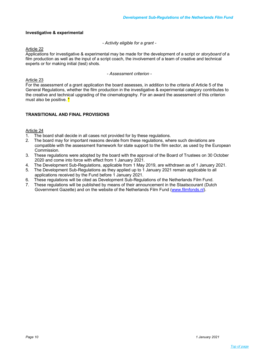# **Investigative & experimental**

*- Activity eligible for a grant -*

### Article 22

Applications for investigative & experimental may be made for the development of a script or *storyboard* of a film production as well as the input of a script coach, the involvement of a team of creative and technical experts or for making initial (test) shots.

*- Assessment criterion -*

# Article 23

For the assessment of a grant application the board assesses, in addition to the criteria of Article 5 of the General Regulations, whether the film production in the investigative & experimental category contributes to the creative and technical upgrading of the cinematography. For an award the assessment of this criterion must also be positive. \*

# **TRANSITIONAL AND FINAL PROVISIONS**

- 1. The board shall decide in all cases not provided for by these regulations.
- 2. The board may for important reasons deviate from these regulations, where such deviations are compatible with the assessment framework for state support to the film sector, as used by the European Commission.
- 3. These regulations were adopted by the board with the approval of the Board of Trustees on 30 October 2020 and come into force with effect from 1 January 2021.
- 4. The Development Sub-Regulations, applicable from 1 May 2019, are withdrawn as of 1 January 2021.
- 5. The Development Sub-Regulations as they applied up to 1 January 2021 remain applicable to all applications received by the Fund before 1 January 2021.
- 6. These regulations will be cited as Development Sub-Regulations of the Netherlands Film Fund.
- 7. These regulations will be published by means of their announcement in the Staatscourant (Dutch Government Gazette) and on the website of the Netherlands Film Fund (www.filmfonds.nl).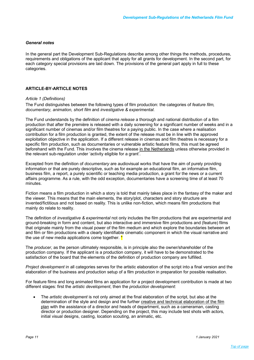# *General notes*

In the general part the Development Sub-Regulations describe among other things the methods, procedures, requirements and obligations of the applicant that apply for all grants for development. In the second part, for each category special provisions are laid down. The provisions of the general part apply in full to these categories.

# **ARTICLE-BY-ARTICLE NOTES**

### *Article 1 (Definitions)*

The Fund distinguishes between the following types of film production: the categories of *feature film, documentary, animation, short film* and *investigative & experimental*.

The Fund understands by the definition of *cinema release* a thorough and national distribution of a film production that after the première is released with a daily screening for a significant number of weeks and in a significant number of cinemas and/or film theatres for a paying public. In the case where a realisation contribution for a film production is granted, the extent of the release must be in line with the approved exploitation objective in the application. If a different release in cinemas and film theatres is necessary for a specific film production, such as documentaries or vulnerable artistic feature films, this must be agreed beforehand with the Fund. This involves the cinema release in the Netherlands unless otherwise provided in the relevant sub-regulation under 'activity eligible for a grant'.

Excepted from the definition of *documentary* are audiovisual works that have the aim of purely providing information or that are purely descriptive, such as for example an educational film, an informative film, business film, a report, a purely scientific or teaching media production, a grant for the news or a current affairs programme. As a rule, with the odd exception, documentaries have a screening time of at least 70 minutes.

Fiction means a film production in which a story is told that mainly takes place in the fantasy of the maker and the viewer. This means that the main elements, the story/plot, characters and story structure are invented/fictitious and not based on reality. This is unlike non-fiction, which means film productions that mainly do relate to reality.

The definition of *investigative & experimental* not only includes the film productions that are experimental and ground-breaking in form and content, but also interactive and immersive film productions and (feature) films that originate mainly from the visual power of the film medium and which explore the boundaries between art and film or film productions with a clearly identifiable cinematic component in which the visual narrative and the use of new media applications come together.  $*$ 

The *producer*, as the person ultimately responsible, is in principle also the owner/shareholder of the production company. If the applicant is a production company, it will have to be demonstrated to the satisfaction of the board that the elements of the definition of production company are fulfilled.

*Project development* in all categories serves for the artistic elaboration of the script into a final version and the elaboration of the business and production setup of a film production in preparation for possible realisation.

For feature films and long animated films an application for a project development contribution is made at two different stages: first the *artistic development*, then the *production development*:

• The *artistic development* is not only aimed at the final elaboration of the script, but also at the determination of the style and design and the further creative and technical elaboration of the film plan with the assistance of a director and heads of department, such as a cameraman, casting director or production designer. Depending on the project, this may include test shots with actors, initial visual designs, casting, location scouting, an animatic, etc.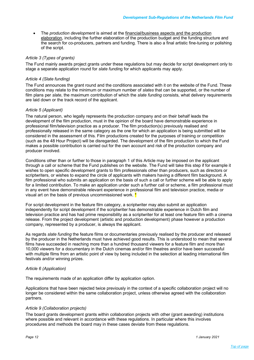• The *production development* is aimed at the financial/business aspects and the production elaboration, including the further elaboration of the production budget and the funding structure and the search for co-producers, partners and funding. There is also a final artistic fine-tuning or polishing of the script.

# *Article 3 (Types of grants)*

The Fund mainly awards project grants under these regulations but may decide for script development only to stage a separate application round for *slate fundin*g for which applicants may apply.

# *Article 4 (Slate funding)*

The Fund announces the grant round and the conditions associated with it on the website of the Fund. These conditions may relate to the minimum or maximum number of *slates* that can be supported, or the number of film plans per *slate*, the maximum contribution of which the *slate funding* consists, what delivery requirements are laid down or the track record of the applicant.

### *Article 5 (Applicant)*

The natural person, who legally represents the production company and on their behalf leads the development of the film production, must in the opinion of the board have demonstrable experience in professional film/television practice as a producer. The film production(s) previously realised and professionally released in the same category as the one for which an application is being submitted will be considered in the assessment of this. Film productions created for the purposes of training or competition (such as the 48 Hour Project) will be disregarded. The development of the film production to which the Fund makes a possible contribution is carried out for the own account and risk of the production company and producer involved.

Conditions other than or further to those in paragraph 1 of this Article may be imposed on the applicant through a call or scheme that the Fund publishes on the website. The Fund will take this step if for example it wishes to open specific development grants to film professionals other than producers, such as directors or scriptwriters, or wishes to expand the circle of applicants with makers having a different film background. A film professional who submits an application on the basis of such a call or further scheme will be able to apply for a limited contribution. To make an application under such a further call or scheme, a film professional must in any event have demonstrable relevant experience in professional film and television practice, media or visual art on the basis of previous uncommissioned work. \*

For script development in the feature film category, a scriptwriter may also submit an application independently for script development if the scriptwriter has demonstrable experience in Dutch film and television practice and has had prime responsibility as a scriptwriter for at least one feature film with a cinema release. From the project development (artistic and production development) phase however a production company, represented by a producer, is always the applicant.

As regards *slate funding* the feature films or documentaries previously realised by the producer and released by the producer in the Netherlands must have achieved good results. This is understood to mean that several films have succeeded in reaching more than a hundred thousand viewers for a feature film and more than 10,000 viewers for a documentary in the Dutch cinemas and/or film theatres and/or have been successful with multiple films from an artistic point of view by being included in the selection at leading international film festivals and/or winning prizes.

### *Article 6 (Application)*

The requirements made of an application differ by application option.

Applications that have been rejected twice previously in the context of a specific collaboration project will no longer be considered within the same collaboration project, unless otherwise agreed with the collaboration partners.

### *Article 9 (Collaboration projects)*

The board grants development grants within collaboration projects with other (grant awarding) institutions where possible and relevant in accordance with these regulations. In particular where this involves procedures and methods the board may in these cases deviate from these regulations.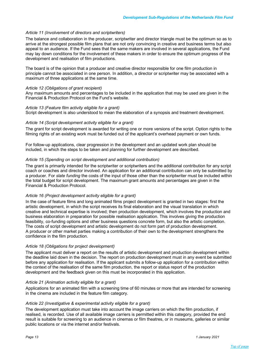### *Article 11 (Involvement of directors and scriptwriters)*

The balance and collaboration in the producer, scriptwriter and director triangle must be the optimum so as to arrive at the strongest possible film plans that are not only convincing in creative and business terms but also appeal to an audience. If the Fund sees that the same makers are involved in several applications, the Fund may lay down conditions for the involvement of these makers in order to ensure the optimum progress of the development and realisation of film productions.

The board is of the opinion that a producer and creative director responsible for one film production in principle cannot be associated in one person. In addition, a director or scriptwriter may be associated with a maximum of three applications at the same time.

### *Article 12 (Obligations of grant recipient)*

Any maximum amounts and percentages to be included in the application that may be used are given in the Financial & Production Protocol on the Fund's website.

### *Article 13 (Feature film activity eligible for a grant)*

Script development is also understood to mean the elaboration of a synopsis and treatment development.

### *Article 14 (Script development activity eligible for a grant)*

The grant for script development is awarded for writing one or more versions of the script. Option rights to the filming rights of an existing work must be funded out of the applicant's overhead payment or own funds.

For follow-up applications, clear progression in the development and an updated work plan should be included, in which the steps to be taken and planning for further development are described.

### *Article 15 (Spending on script development and additional contribution)*

The grant is primarily intended for the scriptwriter or scriptwriters and the additional contribution for any script coach or coaches and director involved. An application for an additional contribution can only be submitted by a producer. For *slate funding* the costs of the input of those other than the scriptwriter must be included within the total budget for script development. The maximum grant amounts and percentages are given in the Financial & Production Protocol.

### *Article 16 (Project development activity eligible for a grant)*

In the case of feature films and long animated films project development is granted in two stages: first the artistic development, in which the script receives its final elaboration and the visual translation in which creative and technical expertise is involved; then production development, which involves the production and business elaboration in preparation for possible realisation application. This involves giving the production feasibility, co-funding options and other business questions concrete form, but also the artistic completion. The costs of script development and artistic development do not form part of production development. A producer or other market parties making a contribution of their own to the development strengthens the confidence in the film production.

### *Article 18 (Obligations for project development)*

The applicant must deliver a report on the results of artistic development and production development within the deadline laid down in the decision. The report on production development must in any event be submitted before any application for realisation. If the applicant submits a follow-up application for a contribution within the context of the realisation of the same film production, the report or status report of the production development and the feedback given on this must be incorporated in this application.

### *Article 21 (Animation activity eligible for a grant)*

Applications for an animated film with a screening time of 60 minutes or more that are intended for screening in the cinema are included in the feature film category.

### *Article 22 (Investigative & experimental activity eligible for a grant)*

The development application must take into account the image carriers on which the film production, if realised, is recorded. Use of all available image carriers is permitted within this category, provided the end result is suitable for screening to an audience in cinemas or film theatres, or in museums, galleries or similar public locations or via the internet and/or festivals.